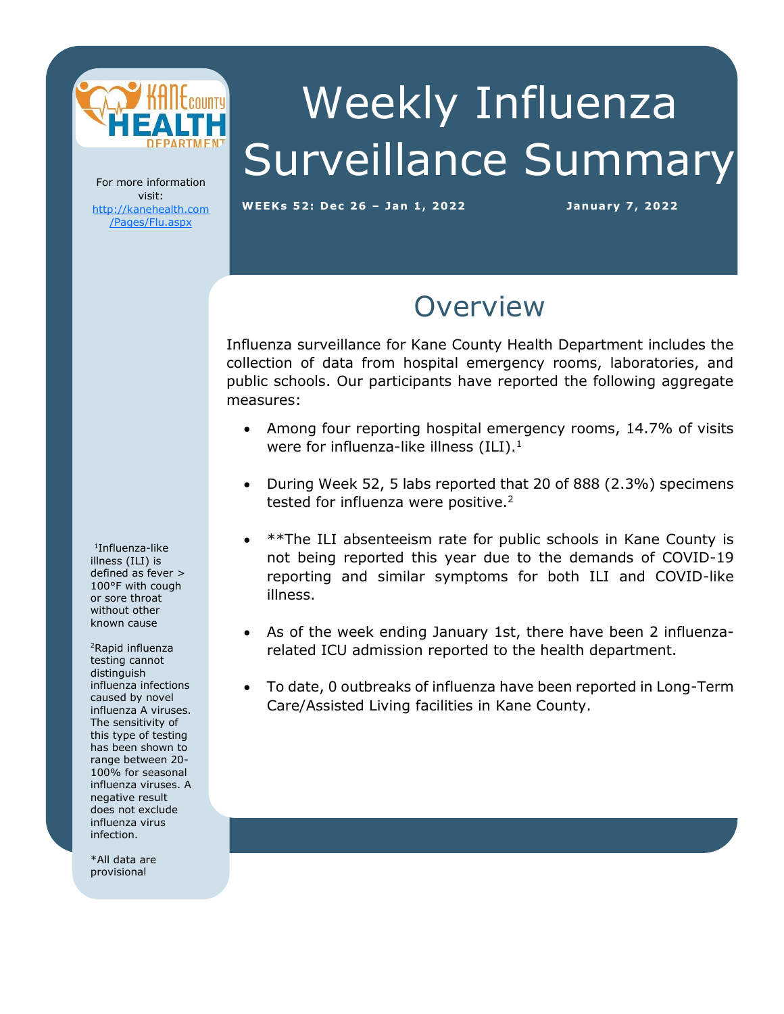

# Weekly Influenza Surveillance Summary

For more information visit: [http://kanehealth.com](http://kanehealth.com/Pages/Flu.aspx) [/Pages/Flu.aspx](http://kanehealth.com/Pages/Flu.aspx)

WEEKs 52: Dec 26 - Jan 1, 2022 **January 7, 2022** 

data that make this monitoring possible.

### **Overview**

Influenza surveillance for Kane County Health Department includes the collection of data from hospital emergency rooms, laboratories, and public schools. Our participants have reported the following aggregate measures:

- Among four reporting hospital emergency rooms, 14.7% of visits were for influenza-like illness  $(ILI).<sup>1</sup>$
- During Week 52, 5 labs reported that 20 of 888 (2.3%) specimens tested for influenza were positive.<sup>2</sup>
- \*\*The ILI absenteeism rate for public schools in Kane County is not being reported this year due to the demands of COVID-19 reporting and similar symptoms for both ILI and COVID-like illness.
- As of the week ending January 1st, there have been 2 influenzarelated ICU admission reported to the health department.
- To date, 0 outbreaks of influenza have been reported in Long-Term Care/Assisted Living facilities in Kane County.

1 Influenza-like illness (ILI) is defined as fever > 100°F with cough or sore throat without other known cause

<sup>2</sup>Rapid influenza testing cannot distinguish influenza infections caused by novel influenza A viruses. The sensitivity of this type of testing has been shown to range between 20- 100% for seasonal influenza viruses. A negative result does not exclude influenza virus infection.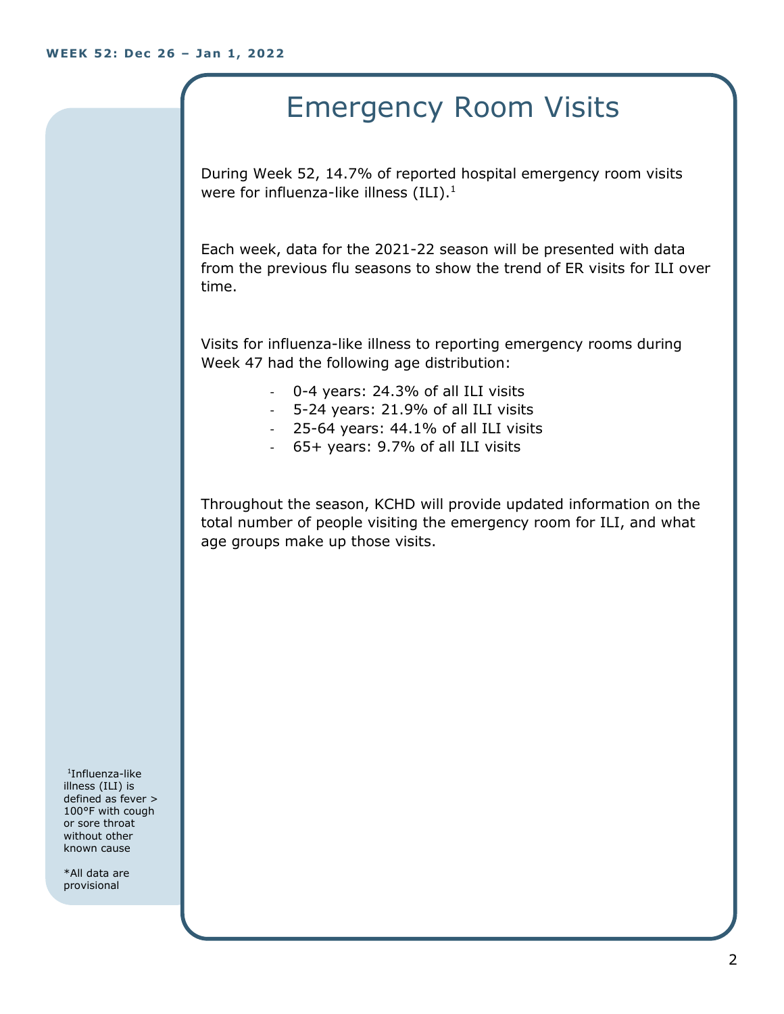## Emergency Room Visits

During Week 52, 14.7% of reported hospital emergency room visits were for influenza-like illness  $(ILI).<sup>1</sup>$ 

Each week, data for the 2021-22 season will be presented with data from the previous flu seasons to show the trend of ER visits for ILI over time.

Visits for influenza-like illness to reporting emergency rooms during Week 47 had the following age distribution:

- 0-4 years: 24.3% of all ILI visits
- 5-24 years: 21.9% of all ILI visits
- 25-64 years: 44.1% of all ILI visits
- 65+ years: 9.7% of all ILI visits

Throughout the season, KCHD will provide updated information on the total number of people visiting the emergency room for ILI, and what age groups make up those visits.

1 Influenza-like illness (ILI) is defined as fever > 100°F with cough or sore throat without other known cause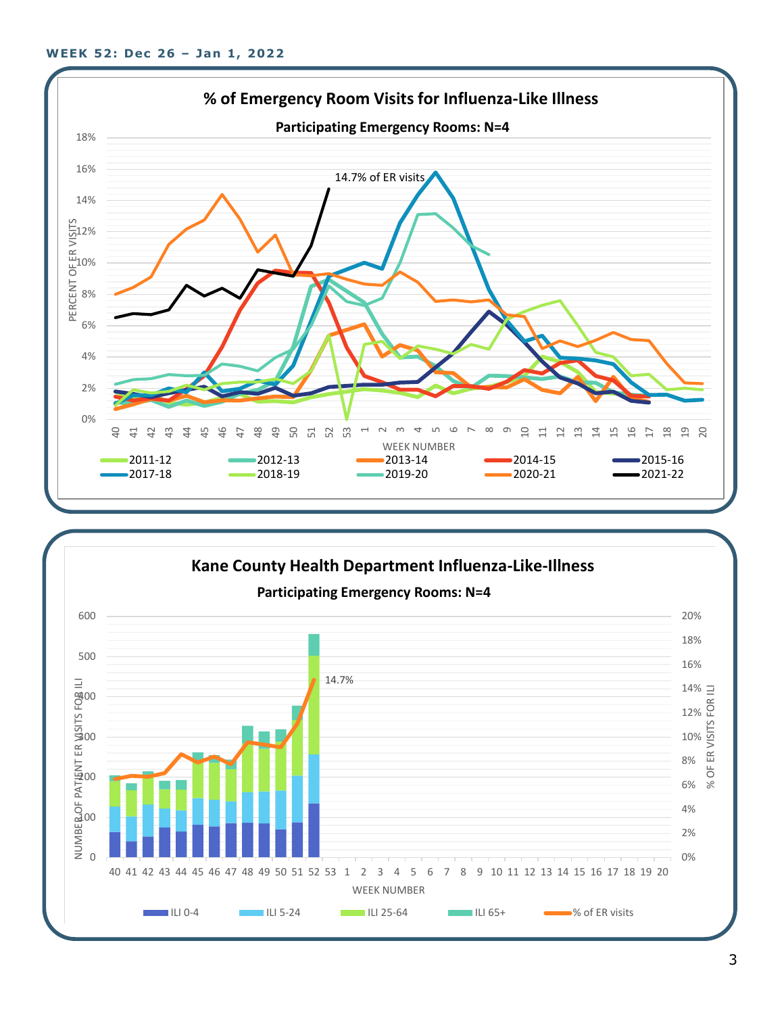

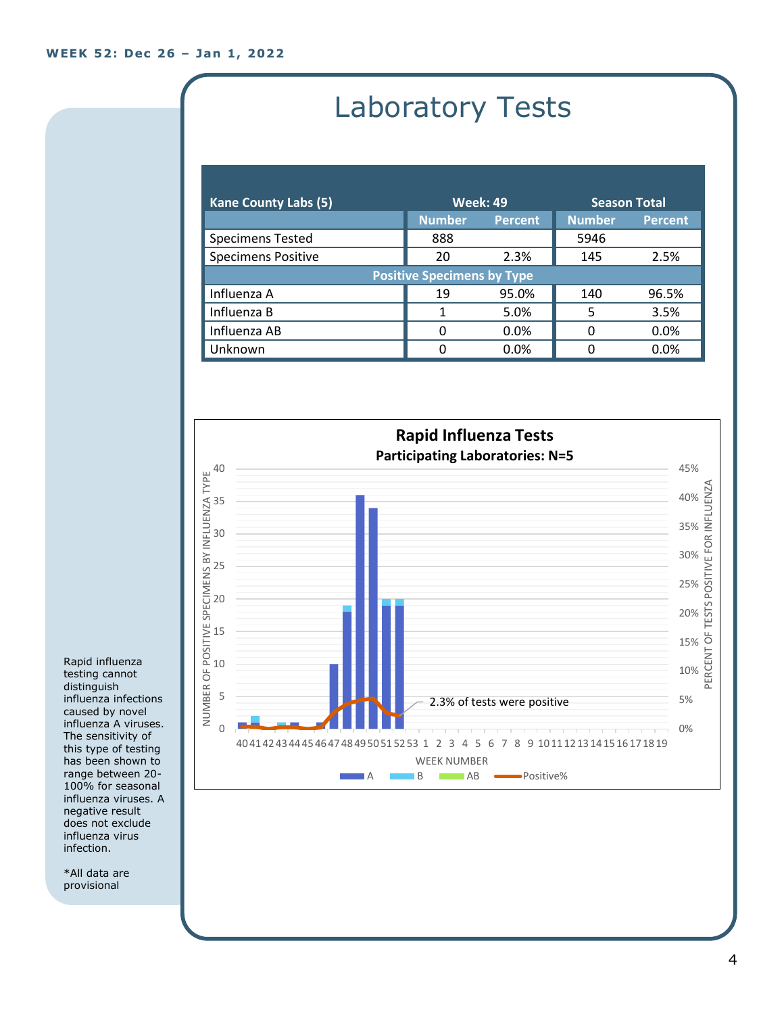# Laboratory Tests

| <b>Kane County Labs (5)</b>       | <b>Week: 49</b> |                | <b>Season Total</b> |                |  |
|-----------------------------------|-----------------|----------------|---------------------|----------------|--|
|                                   | <b>Number</b>   | <b>Percent</b> | <b>Number</b>       | <b>Percent</b> |  |
| <b>Specimens Tested</b>           | 888             |                | 5946                |                |  |
| <b>Specimens Positive</b>         | 20              | 2.3%           | 145                 | 2.5%           |  |
| <b>Positive Specimens by Type</b> |                 |                |                     |                |  |
| Influenza A                       | 19              | 95.0%          | 140                 | 96.5%          |  |
| Influenza B                       |                 | 5.0%           | 5                   | 3.5%           |  |
| Influenza AB                      | O               | $0.0\%$        | 0                   | 0.0%           |  |
| Unknown                           | ŋ               | 0.0%           | O                   | 0.0%           |  |



Rapid influenza testing cannot distinguish influenza infections caused by novel influenza A viruses. The sensitivity of this type of testing has been shown to range between 20- 100% for seasonal influenza viruses. A negative result does not exclude influenza virus infection.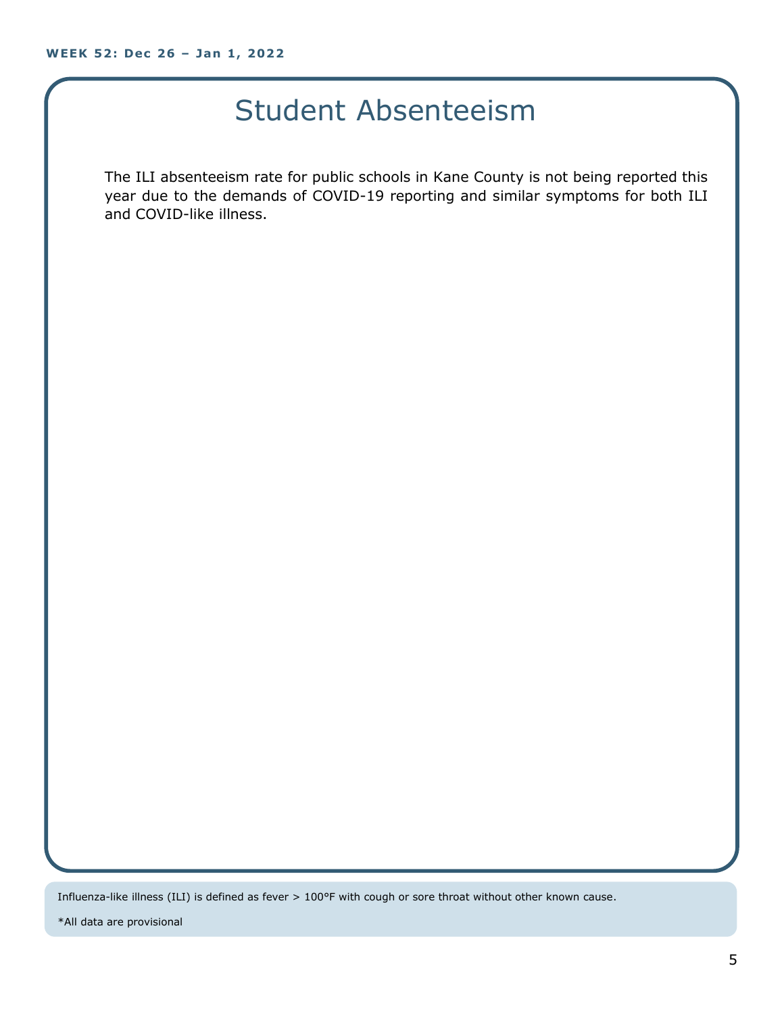#### Student Absenteeism

The ILI absenteeism rate for public schools in Kane County is not being reported this year due to the demands of COVID-19 reporting and similar symptoms for both ILI and COVID-like illness.

Influenza-like illness (ILI) is defined as fever > 100°F with cough or sore throat without other known cause.